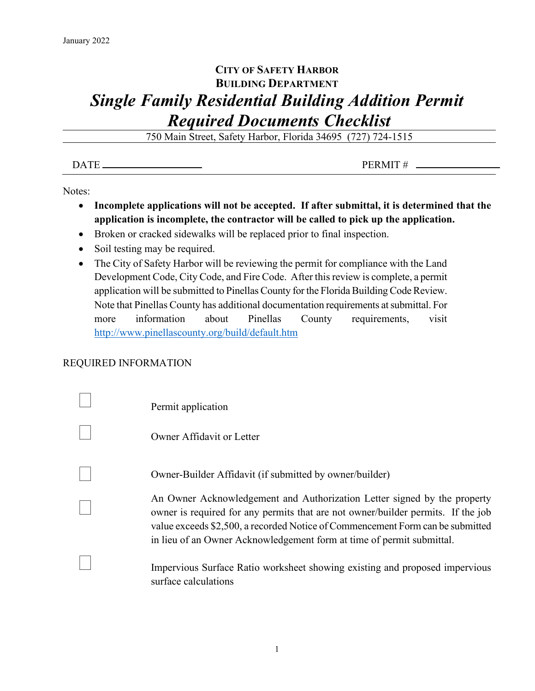## **CITY OF SAFETY HARBOR BUILDING DEPARTMENT** *Single Family Residential Building Addition Permit Required Documents Checklist*

750 Main Street, Safety Harbor, Florida 34695 (727) 724-1515

| <b>DATE</b> | <b>PERMIT</b><br>ונו<br>-- |
|-------------|----------------------------|
|             |                            |

Notes:

- **Incomplete applications will not be accepted. If after submittal, it is determined that the application is incomplete, the contractor will be called to pick up the application.**
- Broken or cracked sidewalks will be replaced prior to final inspection.
- Soil testing may be required.
- The City of Safety Harbor will be reviewing the permit for compliance with the Land Development Code, City Code, and Fire Code. After this review is complete, a permit application will be submitted to Pinellas County for the Florida Building Code Review. Note that Pinellas County has additional documentation requirements at submittal. For more information about Pinellas County requirements, visit <http://www.pinellascounty.org/build/default.htm>

## REQUIRED INFORMATION

| Permit application                                                                                                                                                                                                                                                                                                      |
|-------------------------------------------------------------------------------------------------------------------------------------------------------------------------------------------------------------------------------------------------------------------------------------------------------------------------|
| Owner Affidavit or Letter                                                                                                                                                                                                                                                                                               |
| Owner-Builder Affidavit (if submitted by owner/builder)                                                                                                                                                                                                                                                                 |
| An Owner Acknowledgement and Authorization Letter signed by the property<br>owner is required for any permits that are not owner/builder permits. If the job<br>value exceeds \$2,500, a recorded Notice of Commencement Form can be submitted<br>in lieu of an Owner Acknowledgement form at time of permit submittal. |
| Impervious Surface Ratio worksheet showing existing and proposed impervious<br>surface calculations                                                                                                                                                                                                                     |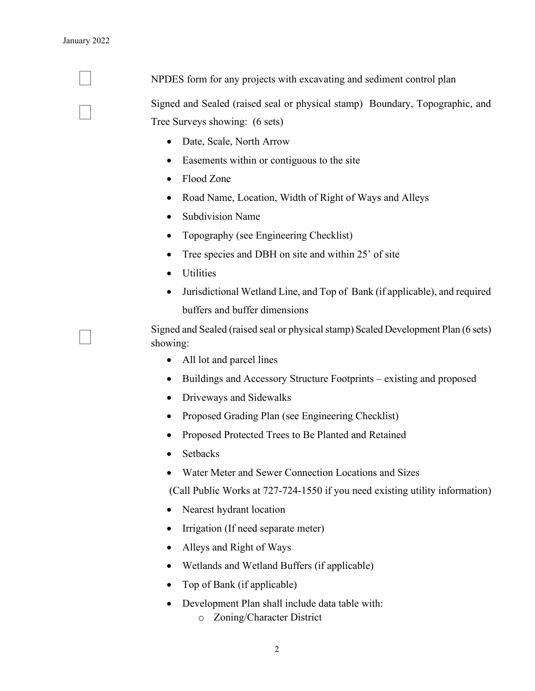NPDES form for any projects with excavating and sediment control plan

 Signed and Sealed (raised seal or physical stamp) Boundary, Topographic, and Tree Surveys showing: (6 sets)

- Date, Scale, North Arrow
- Easements within or contiguous to the site
- Flood Zone
- Road Name, Location, Width of Right of Ways and Alleys
- Subdivision Name
- Topography (see Engineering Checklist)
- Tree species and DBH on site and within 25' of site
- Utilities
- Jurisdictional Wetland Line, and Top of Bank (if applicable), and required buffers and buffer dimensions

 Signed and Sealed (raised seal or physical stamp) Scaled Development Plan (6 sets) showing:

- All lot and parcel lines
- Buildings and Accessory Structure Footprints existing and proposed
- Driveways and Sidewalks
- Proposed Grading Plan (see Engineering Checklist)
- Proposed Protected Trees to Be Planted and Retained
- Setbacks
- Water Meter and Sewer Connection Locations and Sizes

(Call Public Works at 727-724-1550 if you need existing utility information)

- Nearest hydrant location
- Irrigation (If need separate meter)
- Alleys and Right of Ways
- Wetlands and Wetland Buffers (if applicable)
- Top of Bank (if applicable)
- Development Plan shall include data table with:
	- o Zoning/Character District